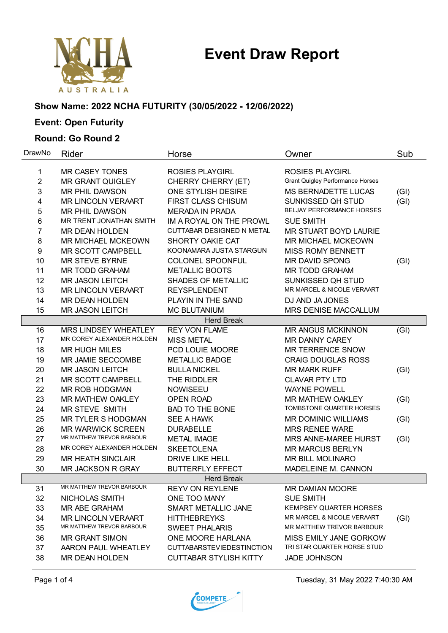# **Event Draw Report**



# **Show Name: 2022 NCHA FUTURITY (30/05/2022 - 12/06/2022)**

# **Event: Open Futurity**

#### **Round: Go Round 2**

| DrawNo         | Rider                     | Horse                            | Owner                                   | Sub  |
|----------------|---------------------------|----------------------------------|-----------------------------------------|------|
| 1              | <b>MR CASEY TONES</b>     | <b>ROSIES PLAYGIRL</b>           | <b>ROSIES PLAYGIRL</b>                  |      |
| $\overline{2}$ | <b>MR GRANT QUIGLEY</b>   | CHERRY CHERRY (ET)               | <b>Grant Quigley Performance Horses</b> |      |
| 3              | <b>MR PHIL DAWSON</b>     | ONE STYLISH DESIRE               | <b>MS BERNADETTE LUCAS</b>              | (GI) |
| 4              | <b>MR LINCOLN VERAART</b> | <b>FIRST CLASS CHISUM</b>        | SUNKISSED QH STUD                       | (GI) |
| 5              | <b>MR PHIL DAWSON</b>     | <b>MERADA IN PRADA</b>           | <b>BELJAY PERFORMANCE HORSES</b>        |      |
| 6              | MR TRENT JONATHAN SMITH   | IM A ROYAL ON THE PROWL          | <b>SUE SMITH</b>                        |      |
| 7              | <b>MR DEAN HOLDEN</b>     | CUTTABAR DESIGNED N METAL        | <b>MR STUART BOYD LAURIE</b>            |      |
| 8              | <b>MR MICHAEL MCKEOWN</b> | SHORTY OAKIE CAT                 | MR MICHAEL MCKEOWN                      |      |
| 9              | MR SCOTT CAMPBELL         | KOONAMARA JUSTA STARGUN          | <b>MISS ROMY BENNETT</b>                |      |
| 10             | <b>MR STEVE BYRNE</b>     | COLONEL SPOONFUL                 | MR DAVID SPONG                          | (GI) |
| 11             | <b>MR TODD GRAHAM</b>     | <b>METALLIC BOOTS</b>            | <b>MR TODD GRAHAM</b>                   |      |
| 12             | <b>MR JASON LEITCH</b>    | SHADES OF METALLIC               | SUNKISSED QH STUD                       |      |
| 13             | <b>MR LINCOLN VERAART</b> | <b>REYSPLENDENT</b>              | MR MARCEL & NICOLE VERAART              |      |
| 14             | <b>MR DEAN HOLDEN</b>     | PLAYIN IN THE SAND               | DJ AND JA JONES                         |      |
| 15             | <b>MR JASON LEITCH</b>    | MC BLUTANIUM                     | MRS DENISE MACCALLUM                    |      |
|                |                           | <b>Herd Break</b>                |                                         |      |
| 16             | MRS LINDSEY WHEATLEY      | <b>REY VON FLAME</b>             | <b>MR ANGUS MCKINNON</b>                | (GI) |
| 17             | MR COREY ALEXANDER HOLDEN | <b>MISS METAL</b>                | <b>MR DANNY CAREY</b>                   |      |
| 18             | <b>MR HUGH MILES</b>      | PCD LOUIE MOORE                  | <b>MR TERRENCE SNOW</b>                 |      |
| 19             | MR JAMIE SECCOMBE         | <b>METALLIC BADGE</b>            | <b>CRAIG DOUGLAS ROSS</b>               |      |
| 20             | <b>MR JASON LEITCH</b>    | <b>BULLA NICKEL</b>              | <b>MR MARK RUFF</b>                     | (GI) |
| 21             | MR SCOTT CAMPBELL         | THE RIDDLER                      | <b>CLAVAR PTY LTD</b>                   |      |
| 22             | MR ROB HODGMAN            | <b>NOWISEEU</b>                  | <b>WAYNE POWELL</b>                     |      |
| 23             | <b>MR MATHEW OAKLEY</b>   | OPEN ROAD                        | <b>MR MATHEW OAKLEY</b>                 | (GI) |
| 24             | MR STEVE SMITH            | <b>BAD TO THE BONE</b>           | TOMBSTONE QUARTER HORSES                |      |
| 25             | MR TYLER S HODGMAN        | <b>SEE A HAWK</b>                | <b>MR DOMINIC WILLIAMS</b>              | (GI) |
| 26             | <b>MR WARWICK SCREEN</b>  | <b>DURABELLE</b>                 | <b>MRS RENEE WARE</b>                   |      |
| 27             | MR MATTHEW TREVOR BARBOUR | <b>METAL IMAGE</b>               | MRS ANNE-MAREE HURST                    | (GI) |
| 28             | MR COREY ALEXANDER HOLDEN | <b>SKEETOLENA</b>                | <b>MR MARCUS BERLYN</b>                 |      |
| 29             | <b>MR HEATH SINCLAIR</b>  | <b>DRIVE LIKE HELL</b>           | MR BILL MOLINARO                        |      |
| 30             | MR JACKSON R GRAY         | <b>BUTTERFLY EFFECT</b>          | MADELEINE M. CANNON                     |      |
|                |                           | <b>Herd Break</b>                |                                         |      |
| 31             | MR MATTHEW TREVOR BARBOUR | <b>REYV ON REYLENE</b>           | MR DAMIAN MOORE                         |      |
| 32             | NICHOLAS SMITH            | ONE TOO MANY                     | <b>SUE SMITH</b>                        |      |
| 33             | MR ABE GRAHAM             | SMART METALLIC JANE              | <b>KEMPSEY QUARTER HORSES</b>           |      |
| 34             | <b>MR LINCOLN VERAART</b> | <b>HITTHEBREYKS</b>              | MR MARCEL & NICOLE VERAART              | (GI) |
| 35             | MR MATTHEW TREVOR BARBOUR | <b>SWEET PHALARIS</b>            | MR MATTHEW TREVOR BARBOUR               |      |
| 36             | <b>MR GRANT SIMON</b>     | ONE MOORE HARLANA                | MISS EMILY JANE GORKOW                  |      |
| 37             | AARON PAUL WHEATLEY       | <b>CUTTABARSTEVIEDESTINCTION</b> | TRI STAR QUARTER HORSE STUD             |      |
| 38             | <b>MR DEAN HOLDEN</b>     | <b>CUTTABAR STYLISH KITTY</b>    | <b>JADE JOHNSON</b>                     |      |

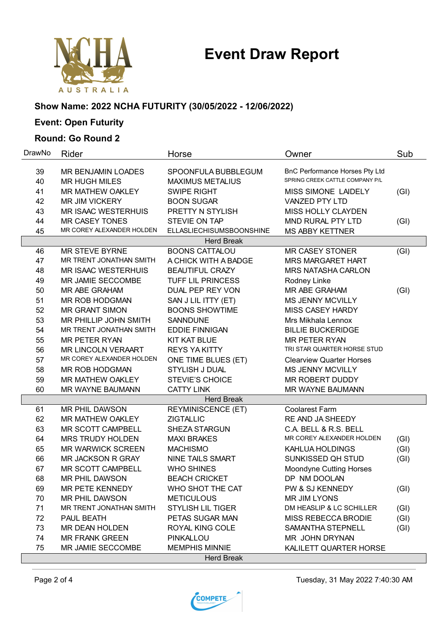# **Event Draw Report**



#### **Show Name: 2022 NCHA FUTURITY (30/05/2022 - 12/06/2022)**

# **Event: Open Futurity**

### **Round: Go Round 2**

| DrawNo            | Rider                        | Horse                     | Owner                           | Sub  |
|-------------------|------------------------------|---------------------------|---------------------------------|------|
| 39                | MR BENJAMIN LOADES           | SPOONFULA BUBBLEGUM       | BnC Performance Horses Pty Ltd  |      |
| 40                | <b>MR HUGH MILES</b>         | <b>MAXIMUS METALIUS</b>   | SPRING CREEK CATTLE COMPANY P/L |      |
| 41                | <b>MR MATHEW OAKLEY</b>      | <b>SWIPE RIGHT</b>        | <b>MISS SIMONE LAIDELY</b>      | (GI) |
| 42                | <b>MR JIM VICKERY</b>        | <b>BOON SUGAR</b>         | VANZED PTY LTD                  |      |
| 43                | <b>MR ISAAC WESTERHUIS</b>   | PRETTY N STYLISH          | MISS HOLLY CLAYDEN              |      |
| 44                | <b>MR CASEY TONES</b>        | STEVIE ON TAP             | MND RURAL PTY LTD               | (GI) |
| 45                | MR COREY ALEXANDER HOLDEN    | ELLASLIECHISUMSBOONSHINE  | <b>MS ABBY KETTNER</b>          |      |
|                   |                              | <b>Herd Break</b>         |                                 |      |
| 46                | <b>MR STEVE BYRNE</b>        | <b>BOONS CATTALOU</b>     | <b>MR CASEY STONER</b>          | (GI) |
| 47                | MR TRENT JONATHAN SMITH      | A CHICK WITH A BADGE      | <b>MRS MARGARET HART</b>        |      |
| 48                | <b>MR ISAAC WESTERHUIS</b>   | <b>BEAUTIFUL CRAZY</b>    | <b>MRS NATASHA CARLON</b>       |      |
| 49                | MR JAMIE SECCOMBE            | TUFF LIL PRINCESS         | Rodney Linke                    |      |
| 50                | MR ABE GRAHAM                | DUAL PEP REY VON          | MR ABE GRAHAM                   | (GI) |
| 51                | MR ROB HODGMAN               | SAN J LIL ITTY (ET)       | <b>MS JENNY MCVILLY</b>         |      |
| 52                | <b>MR GRANT SIMON</b>        | <b>BOONS SHOWTIME</b>     | MISS CASEY HARDY                |      |
| 53                | <b>MR PHILLIP JOHN SMITH</b> | <b>SANNDUNE</b>           | Mrs Mikhala Lennox              |      |
| 54                | MR TRENT JONATHAN SMITH      | <b>EDDIE FINNIGAN</b>     | <b>BILLIE BUCKERIDGE</b>        |      |
| 55                | <b>MR PETER RYAN</b>         | <b>KIT KAT BLUE</b>       | <b>MR PETER RYAN</b>            |      |
| 56                | MR LINCOLN VERAART           | <b>REYS YAKITTY</b>       | TRI STAR QUARTER HORSE STUD     |      |
| 57                | MR COREY ALEXANDER HOLDEN    | ONE TIME BLUES (ET)       | <b>Clearview Quarter Horses</b> |      |
| 58                | MR ROB HODGMAN               | STYLISH J DUAL            | <b>MS JENNY MCVILLY</b>         |      |
| 59                | MR MATHEW OAKLEY             | <b>STEVIE'S CHOICE</b>    | MR ROBERT DUDDY                 |      |
| 60                | MR WAYNE BAUMANN             | <b>CATTY LINK</b>         | MR WAYNE BAUMANN                |      |
|                   |                              | <b>Herd Break</b>         |                                 |      |
| 61                | MR PHIL DAWSON               | <b>REYMINISCENCE (ET)</b> | <b>Coolarest Farm</b>           |      |
| 62                | MR MATHEW OAKLEY             | <b>ZIGTALLIC</b>          | RE AND JA SHEEDY                |      |
| 63                | MR SCOTT CAMPBELL            | SHEZA STARGUN             | C.A. BELL & R.S. BELL           |      |
| 64                | <b>MRS TRUDY HOLDEN</b>      | <b>MAXI BRAKES</b>        | MR COREY ALEXANDER HOLDEN       | (GI) |
| 65                | <b>MR WARWICK SCREEN</b>     | <b>MACHISMO</b>           | KAHLUA HOLDINGS                 | (GI) |
| 66                | MR JACKSON R GRAY            | NINE TAILS SMART          | SUNKISSED QH STUD               | (GI) |
| 67                | MR SCOTT CAMPBELL            | <b>WHO SHINES</b>         | <b>Moondyne Cutting Horses</b>  |      |
| 68                | MR PHIL DAWSON               | <b>BEACH CRICKET</b>      | DP NM DOOLAN                    |      |
| 69                | MR PETE KENNEDY              | WHO SHOT THE CAT          | PW & SJ KENNEDY                 | (GI) |
| 70                | <b>MR PHIL DAWSON</b>        | <b>METICULOUS</b>         | <b>MR JIM LYONS</b>             |      |
| 71                | MR TRENT JONATHAN SMITH      | <b>STYLISH LIL TIGER</b>  | DM HEASLIP & LC SCHILLER        | (GI) |
| 72                | PAUL BEATH                   | PETAS SUGAR MAN           | MISS REBECCA BRODIE             | (GI) |
| 73                | <b>MR DEAN HOLDEN</b>        | ROYAL KING COLE           | SAMANTHA STEPNELL               | (GI) |
| 74                | <b>MR FRANK GREEN</b>        | PINKALLOU                 | MR JOHN DRYNAN                  |      |
| 75                | MR JAMIE SECCOMBE            | <b>MEMPHIS MINNIE</b>     | KALILETT QUARTER HORSE          |      |
| <b>Herd Break</b> |                              |                           |                                 |      |

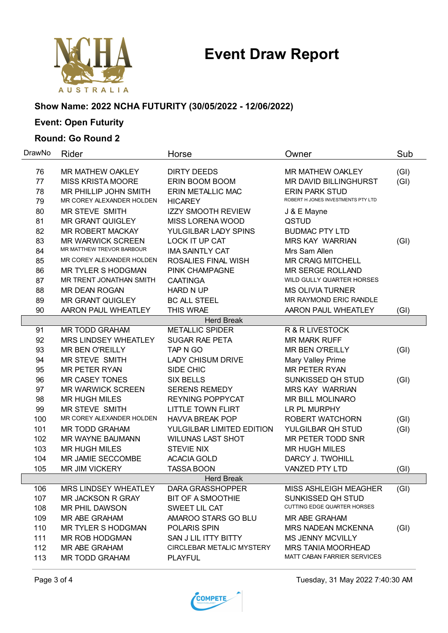# **Event Draw Report**



# **Show Name: 2022 NCHA FUTURITY (30/05/2022 - 12/06/2022)**

# **Event: Open Futurity**

### **Round: Go Round 2**

| DrawNo            | Rider                                                                        | Horse                                                     | Owner                                                                                                           | Sub          |
|-------------------|------------------------------------------------------------------------------|-----------------------------------------------------------|-----------------------------------------------------------------------------------------------------------------|--------------|
| 76<br>77<br>78    | <b>MR MATHEW OAKLEY</b><br><b>MISS KRISTA MOORE</b><br>MR PHILLIP JOHN SMITH | <b>DIRTY DEEDS</b><br>ERIN BOOM BOOM<br>ERIN METALLIC MAC | <b>MR MATHEW OAKLEY</b><br>MR DAVID BILLINGHURST<br><b>ERIN PARK STUD</b><br>ROBERT H JONES INVESTMENTS PTY LTD | (GI)<br>(GI) |
| 79                | MR COREY ALEXANDER HOLDEN                                                    | <b>HICAREY</b>                                            |                                                                                                                 |              |
| 80                | MR STEVE SMITH                                                               | <b>IZZY SMOOTH REVIEW</b>                                 | J & E Mayne                                                                                                     |              |
| 81                | MR GRANT QUIGLEY                                                             | <b>MISS LORENA WOOD</b>                                   | QSTUD                                                                                                           |              |
| 82                | <b>MR ROBERT MACKAY</b>                                                      | YULGILBAR LADY SPINS                                      | <b>BUDMAC PTY LTD</b>                                                                                           |              |
| 83                | <b>MR WARWICK SCREEN</b>                                                     | LOCK IT UP CAT                                            | <b>MRS KAY WARRIAN</b>                                                                                          | (GI)         |
| 84                | MR MATTHEW TREVOR BARBOUR                                                    | <b>IMA SAINTLY CAT</b>                                    | Mrs Sam Allen                                                                                                   |              |
| 85                | MR COREY ALEXANDER HOLDEN                                                    | ROSALIES FINAL WISH                                       | <b>MR CRAIG MITCHELL</b>                                                                                        |              |
| 86                | <b>MR TYLER S HODGMAN</b>                                                    | PINK CHAMPAGNE                                            | <b>MR SERGE ROLLAND</b>                                                                                         |              |
| 87                | MR TRENT JONATHAN SMITH                                                      | <b>CAATINGA</b>                                           | WILD GULLY QUARTER HORSES                                                                                       |              |
| 88                | <b>MR DEAN ROGAN</b>                                                         | <b>HARD N UP</b>                                          | <b>MS OLIVIA TURNER</b>                                                                                         |              |
| 89                | <b>MR GRANT QUIGLEY</b>                                                      | <b>BC ALL STEEL</b>                                       | MR RAYMOND ERIC RANDLE                                                                                          |              |
| 90                | AARON PAUL WHEATLEY                                                          | THIS WRAE                                                 | AARON PAUL WHEATLEY                                                                                             | (GI)         |
|                   |                                                                              | <b>Herd Break</b>                                         |                                                                                                                 |              |
| 91                | <b>MR TODD GRAHAM</b>                                                        | <b>METALLIC SPIDER</b>                                    | R & R LIVESTOCK                                                                                                 |              |
| 92                | <b>MRS LINDSEY WHEATLEY</b>                                                  | <b>SUGAR RAE PETA</b>                                     | <b>MR MARK RUFF</b>                                                                                             |              |
| 93                | <b>MR BEN O'REILLY</b>                                                       | TAP N GO                                                  | <b>MR BEN O'REILLY</b>                                                                                          | (GI)         |
| 94                | MR STEVE SMITH                                                               | <b>LADY CHISUM DRIVE</b>                                  | Mary Valley Prime                                                                                               |              |
| 95                | <b>MR PETER RYAN</b>                                                         | SIDE CHIC                                                 | <b>MR PETER RYAN</b>                                                                                            |              |
| 96                | <b>MR CASEY TONES</b>                                                        | <b>SIX BELLS</b>                                          | SUNKISSED QH STUD                                                                                               | (GI)         |
| 97                | <b>MR WARWICK SCREEN</b>                                                     | <b>SERENS REMEDY</b>                                      | <b>MRS KAY WARRIAN</b>                                                                                          |              |
| 98                | <b>MR HUGH MILES</b>                                                         | <b>REYNING POPPYCAT</b>                                   | MR BILL MOLINARO                                                                                                |              |
| 99                | MR STEVE SMITH                                                               | <b>LITTLE TOWN FLIRT</b>                                  | LR PL MURPHY                                                                                                    |              |
| 100               | MR COREY ALEXANDER HOLDEN                                                    | <b>HAVVA BREAK POP</b>                                    | ROBERT WATCHORN                                                                                                 | (GI)         |
| 101               | <b>MR TODD GRAHAM</b>                                                        | YULGILBAR LIMITED EDITION                                 | YULGILBAR QH STUD                                                                                               | (GI)         |
| 102               | MR WAYNE BAUMANN                                                             | <b>WILUNAS LAST SHOT</b>                                  | MR PETER TODD SNR                                                                                               |              |
| 103               | <b>MR HUGH MILES</b>                                                         | <b>STEVIE NIX</b>                                         | <b>MR HUGH MILES</b>                                                                                            |              |
| 104               | MR JAMIE SECCOMBE                                                            | <b>ACACIA GOLD</b>                                        | DARCY J. TWOHILL                                                                                                |              |
| 105               | <b>MR JIM VICKERY</b>                                                        | <b>TASSA BOON</b>                                         | <b>VANZED PTY LTD</b>                                                                                           | (GI)         |
| <b>Herd Break</b> |                                                                              |                                                           |                                                                                                                 |              |
| 106               | MRS LINDSEY WHEATLEY                                                         | DARA GRASSHOPPER                                          | MISS ASHLEIGH MEAGHER                                                                                           | (GI)         |
| 107               | MR JACKSON R GRAY                                                            | <b>BIT OF A SMOOTHIE</b>                                  | SUNKISSED QH STUD                                                                                               |              |
| 108               | MR PHIL DAWSON                                                               | SWEET LIL CAT                                             | CUTTING EDGE QUARTER HORSES                                                                                     |              |
| 109               | MR ABE GRAHAM                                                                | AMAROO STARS GO BLU                                       | MR ABE GRAHAM                                                                                                   |              |
| 110               | MR TYLER S HODGMAN                                                           | POLARIS SPIN                                              | <b>MRS NADEAN MCKENNA</b>                                                                                       | (GI)         |
| 111               | MR ROB HODGMAN                                                               | SAN J LIL ITTY BITTY                                      | <b>MS JENNY MCVILLY</b>                                                                                         |              |
| 112               | <b>MR ABE GRAHAM</b>                                                         | CIRCLEBAR METALIC MYSTERY                                 | MRS TANIA MOORHEAD                                                                                              |              |
| 113               | MR TODD GRAHAM                                                               | <b>PLAYFUL</b>                                            | MATT CABAN FARRIER SERVICES                                                                                     |              |